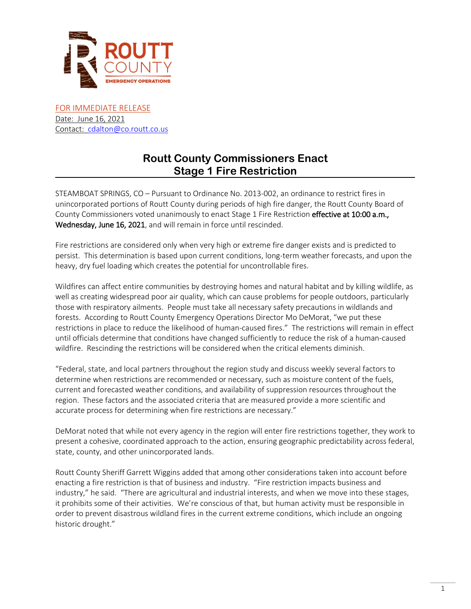

FOR IMMEDIATE RELEASE Date: June 16, 2021 Contact: [cdalton@co.routt.co.us](mailto:cdalton@co.routt.co.us)

# **Routt County Commissioners Enact Stage 1 Fire Restriction**

STEAMBOAT SPRINGS, CO – Pursuant to Ordinance No. 2013-002, an ordinance to restrict fires in unincorporated portions of Routt County during periods of high fire danger, the Routt County Board of County Commissioners voted unanimously to enact Stage 1 Fire Restriction effective at 10:00 a.m., Wednesday, June 16, 2021, and will remain in force until rescinded.

Fire restrictions are considered only when very high or extreme fire danger exists and is predicted to persist. This determination is based upon current conditions, long-term weather forecasts, and upon the heavy, dry fuel loading which creates the potential for uncontrollable fires.

Wildfires can affect entire communities by destroying homes and natural habitat and by killing wildlife, as well as creating widespread poor air quality, which can cause problems for people outdoors, particularly those with respiratory ailments. People must take all necessary safety precautions in wildlands and forests. According to Routt County Emergency Operations Director Mo DeMorat, "we put these restrictions in place to reduce the likelihood of human-caused fires." The restrictions will remain in effect until officials determine that conditions have changed sufficiently to reduce the risk of a human-caused wildfire. Rescinding the restrictions will be considered when the critical elements diminish.

"Federal, state, and local partners throughout the region study and discuss weekly several factors to determine when restrictions are recommended or necessary, such as moisture content of the fuels, current and forecasted weather conditions, and availability of suppression resources throughout the region. These factors and the associated criteria that are measured provide a more scientific and accurate process for determining when fire restrictions are necessary."

DeMorat noted that while not every agency in the region will enter fire restrictions together, they work to present a cohesive, coordinated approach to the action, ensuring geographic predictability across federal, state, county, and other unincorporated lands.

Routt County Sheriff Garrett Wiggins added that among other considerations taken into account before enacting a fire restriction is that of business and industry. "Fire restriction impacts business and industry," he said. "There are agricultural and industrial interests, and when we move into these stages, it prohibits some of their activities. We're conscious of that, but human activity must be responsible in order to prevent disastrous wildland fires in the current extreme conditions, which include an ongoing historic drought."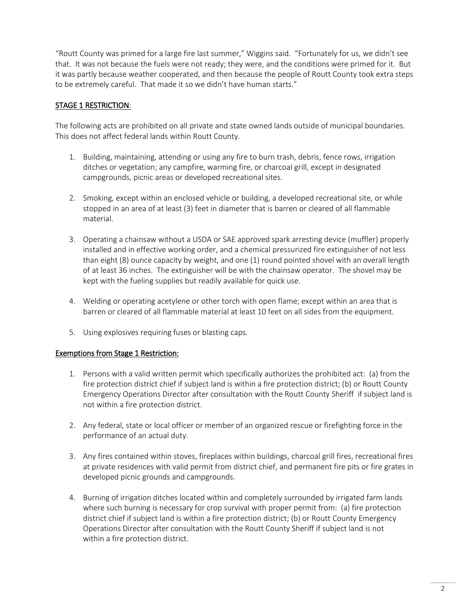"Routt County was primed for a large fire last summer," Wiggins said. "Fortunately for us, we didn't see that. It was not because the fuels were not ready; they were, and the conditions were primed for it. But it was partly because weather cooperated, and then because the people of Routt County took extra steps to be extremely careful. That made it so we didn't have human starts."

## STAGE 1 RESTRICTION:

The following acts are prohibited on all private and state owned lands outside of municipal boundaries. This does not affect federal lands within Routt County.

- 1. Building, maintaining, attending or using any fire to burn trash, debris, fence rows, irrigation ditches or vegetation; any campfire, warming fire, or charcoal grill, except in designated campgrounds, picnic areas or developed recreational sites.
- 2. Smoking, except within an enclosed vehicle or building, a developed recreational site, or while stopped in an area of at least (3) feet in diameter that is barren or cleared of all flammable material.
- 3. Operating a chainsaw without a USDA or SAE approved spark arresting device (muffler) properly installed and in effective working order, and a chemical pressurized fire extinguisher of not less than eight (8) ounce capacity by weight, and one (1) round pointed shovel with an overall length of at least 36 inches. The extinguisher will be with the chainsaw operator. The shovel may be kept with the fueling supplies but readily available for quick use.
- 4. Welding or operating acetylene or other torch with open flame; except within an area that is barren or cleared of all flammable material at least 10 feet on all sides from the equipment.
- 5. Using explosives requiring fuses or blasting caps.

### Exemptions from Stage 1 Restriction:

- 1. Persons with a valid written permit which specifically authorizes the prohibited act: (a) from the fire protection district chief if subject land is within a fire protection district; (b) or Routt County Emergency Operations Director after consultation with the Routt County Sheriff if subject land is not within a fire protection district.
- 2. Any federal, state or local officer or member of an organized rescue or firefighting force in the performance of an actual duty.
- 3. Any fires contained within stoves, fireplaces within buildings, charcoal grill fires, recreational fires at private residences with valid permit from district chief, and permanent fire pits or fire grates in developed picnic grounds and campgrounds.
- 4. Burning of irrigation ditches located within and completely surrounded by irrigated farm lands where such burning is necessary for crop survival with proper permit from: (a) fire protection district chief if subject land is within a fire protection district; (b) or Routt County Emergency Operations Director after consultation with the Routt County Sheriff if subject land is not within a fire protection district.